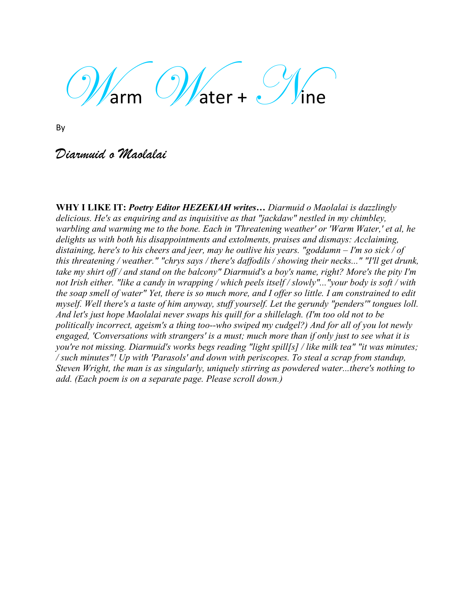Warm *Water +* Mine

By

*Diarmuid o Maolalai*

**WHY I LIKE IT:** *Poetry Editor HEZEKIAH writes… Diarmuid o Maolalai is dazzlingly delicious. He's as enquiring and as inquisitive as that "jackdaw" nestled in my chimbley, warbling and warming me to the bone. Each in 'Threatening weather' or 'Warm Water,' et al, he delights us with both his disappointments and extolments, praises and dismays: Acclaiming, distaining, here's to his cheers and jeer, may he outlive his years. "goddamn – I'm so sick / of this threatening / weather." "chrys says / there's daffodils / showing their necks..." "I'll get drunk, take my shirt off / and stand on the balcony" Diarmuid's a boy's name, right? More's the pity I'm not Irish either. "like a candy in wrapping / which peels itself / slowly"..."your body is soft / with the soap smell of water" Yet, there is so much more, and I offer so little. I am constrained to edit myself. Well there's a taste of him anyway, stuff yourself. Let the gerundy "penders'" tongues loll. And let's just hope Maolalai never swaps his quill for a shillelagh. (I'm too old not to be politically incorrect, ageism's a thing too--who swiped my cudgel?) And for all of you lot newly engaged, 'Conversations with strangers' is a must; much more than if only just to see what it is you're not missing. Diarmuid's works begs reading "light spill[s] / like milk tea" "it was minutes; / such minutes"! Up with 'Parasols' and down with periscopes. To steal a scrap from standup, Steven Wright, the man is as singularly, uniquely stirring as powdered water...there's nothing to add. (Each poem is on a separate page. Please scroll down.)*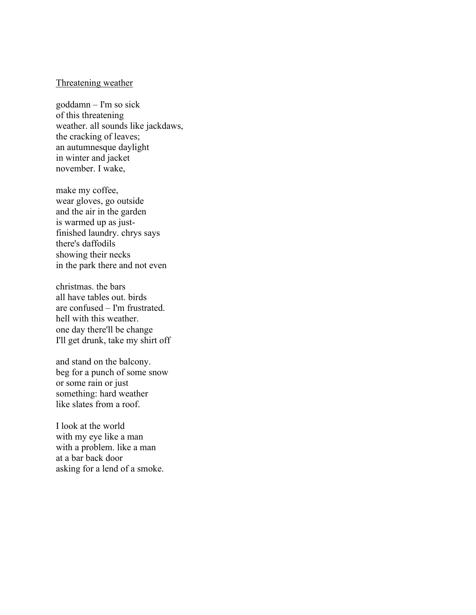### Threatening weather

goddamn – I'm so sick of this threatening weather. all sounds like jackdaws, the cracking of leaves; an autumnesque daylight in winter and jacket november. I wake,

make my coffee, wear gloves, go outside and the air in the garden is warmed up as justfinished laundry. chrys says there's daffodils showing their necks in the park there and not even

christmas. the bars all have tables out. birds are confused – I'm frustrated. hell with this weather. one day there'll be change I'll get drunk, take my shirt off

and stand on the balcony. beg for a punch of some snow or some rain or just something: hard weather like slates from a roof.

I look at the world with my eye like a man with a problem. like a man at a bar back door asking for a lend of a smoke.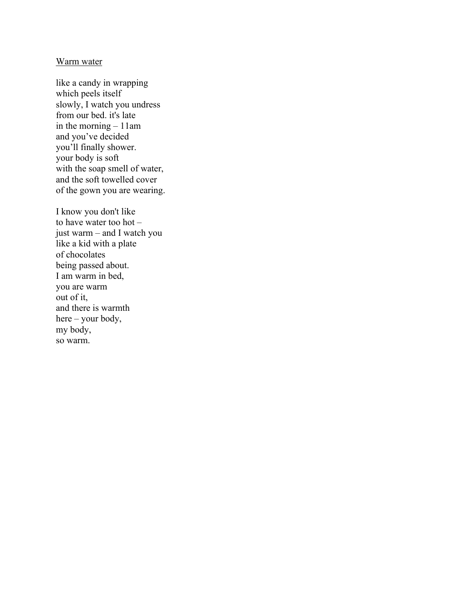#### Warm water

like a candy in wrapping which peels itself slowly, I watch you undress from our bed. it's late in the morning – 11am and you've decided you'll finally shower. your body is soft with the soap smell of water, and the soft towelled cover of the gown you are wearing.

I know you don't like to have water too hot – just warm – and I watch you like a kid with a plate of chocolates being passed about. I am warm in bed, you are warm out of it, and there is warmth here – your body, my body, so warm.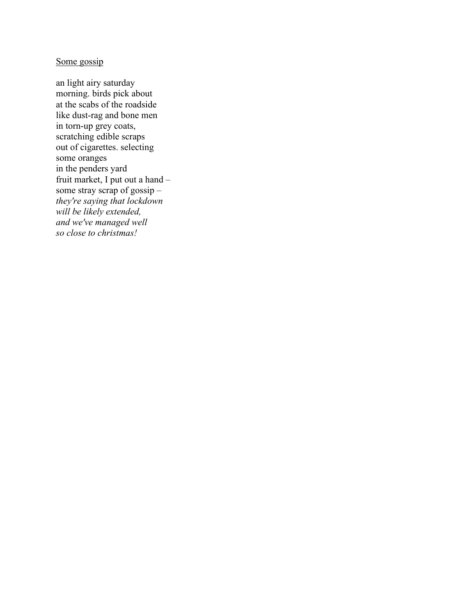# Some gossip

an light airy saturday morning. birds pick about at the scabs of the roadside like dust-rag and bone men in torn-up grey coats, scratching edible scraps out of cigarettes. selecting some oranges in the penders yard fruit market, I put out a hand – some stray scrap of gossip – *they're saying that lockdown will be likely extended, and we've managed well so close to christmas!*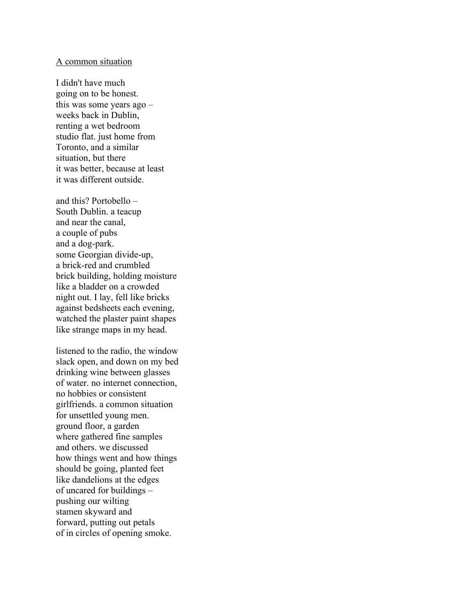#### A common situation

I didn't have much going on to be honest. this was some years ago – weeks back in Dublin, renting a wet bedroom studio flat. just home from Toronto, and a similar situation, but there it was better, because at least it was different outside.

and this? Portobello – South Dublin. a teacup and near the canal, a couple of pubs and a dog-park. some Georgian divide-up, a brick-red and crumbled brick building, holding moisture like a bladder on a crowded night out. I lay, fell like bricks against bedsheets each evening, watched the plaster paint shapes like strange maps in my head.

listened to the radio, the window slack open, and down on my bed drinking wine between glasses of water. no internet connection, no hobbies or consistent girlfriends. a common situation for unsettled young men. ground floor, a garden where gathered fine samples and others. we discussed how things went and how things should be going, planted feet like dandelions at the edges of uncared for buildings – pushing our wilting stamen skyward and forward, putting out petals of in circles of opening smoke.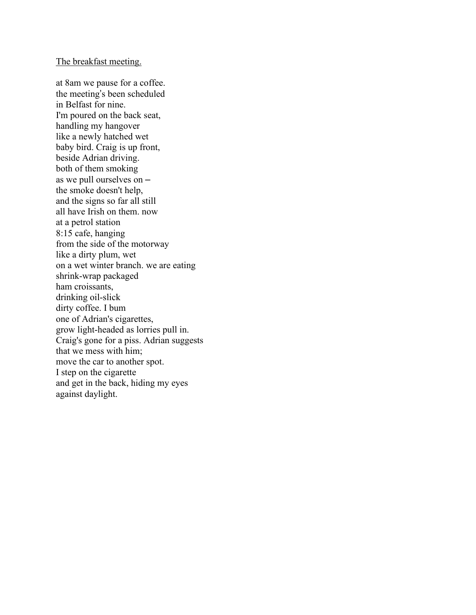#### The breakfast meeting.

at 8am we pause for a coffee. the meeting's been scheduled in Belfast for nine. I'm poured on the back seat, handling my hangover like a newly hatched wet baby bird. Craig is up front, beside Adrian driving. both of them smoking as we pull ourselves on – the smoke doesn't help, and the signs so far all still all have Irish on them. now at a petrol station 8:15 cafe, hanging from the side of the motorway like a dirty plum, wet on a wet winter branch. we are eating shrink-wrap packaged ham croissants, drinking oil-slick dirty coffee. I bum one of Adrian's cigarettes, grow light-headed as lorries pull in. Craig's gone for a piss. Adrian suggests that we mess with him; move the car to another spot. I step on the cigarette and get in the back, hiding my eyes against daylight.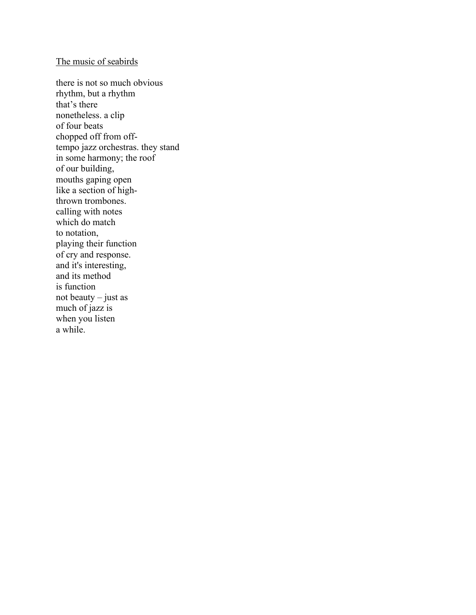### The music of seabirds

there is not so much obvious rhythm, but a rhythm that's there nonetheless. a clip of four beats chopped off from offtempo jazz orchestras. they stand in some harmony; the roof of our building, mouths gaping open like a section of highthrown trombones. calling with notes which do match to notation, playing their function of cry and response. and it's interesting, and its method is function not beauty – just as much of jazz is when you listen a while.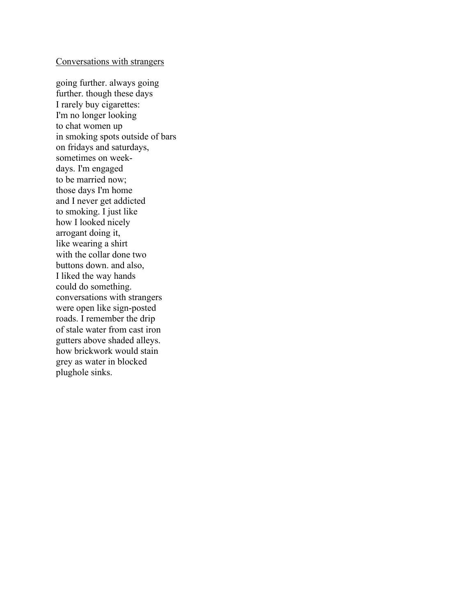## Conversations with strangers

going further. always going further. though these days I rarely buy cigarettes: I'm no longer looking to chat women up in smoking spots outside of bars on fridays and saturdays, sometimes on weekdays. I'm engaged to be married now; those days I'm home and I never get addicted to smoking. I just like how I looked nicely arrogant doing it, like wearing a shirt with the collar done two buttons down. and also, I liked the way hands could do something. conversations with strangers were open like sign-posted roads. I remember the drip of stale water from cast iron gutters above shaded alleys. how brickwork would stain grey as water in blocked plughole sinks.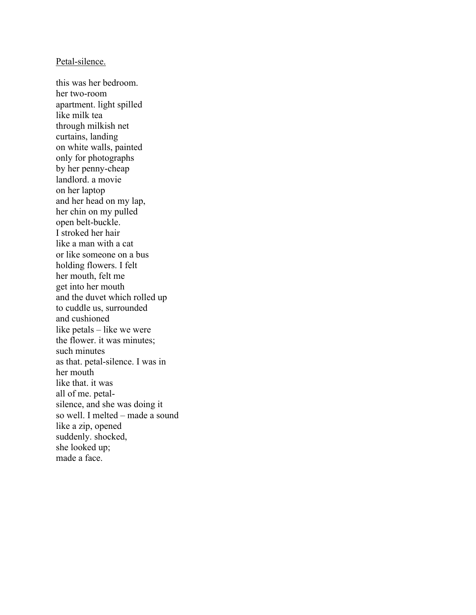#### Petal-silence.

this was her bedroom. her two-room apartment. light spilled like milk tea through milkish net curtains, landing on white walls, painted only for photographs by her penny-cheap landlord. a movie on her laptop and her head on my lap, her chin on my pulled open belt-buckle. I stroked her hair like a man with a cat or like someone on a bus holding flowers. I felt her mouth, felt me get into her mouth and the duvet which rolled up to cuddle us, surrounded and cushioned like petals – like we were the flower. it was minutes; such minutes as that. petal-silence. I was in her mouth like that. it was all of me. petalsilence, and she was doing it so well. I melted – made a sound like a zip, opened suddenly. shocked, she looked up; made a face.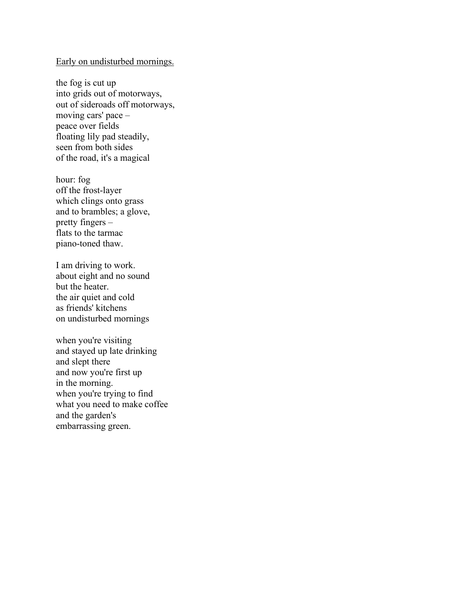## Early on undisturbed mornings.

the fog is cut up into grids out of motorways, out of sideroads off motorways, moving cars' pace – peace over fields floating lily pad steadily, seen from both sides of the road, it's a magical

hour: fog off the frost-layer which clings onto grass and to brambles; a glove, pretty fingers – flats to the tarmac piano-toned thaw.

I am driving to work. about eight and no sound but the heater. the air quiet and cold as friends' kitchens on undisturbed mornings

when you're visiting and stayed up late drinking and slept there and now you're first up in the morning. when you're trying to find what you need to make coffee and the garden's embarrassing green.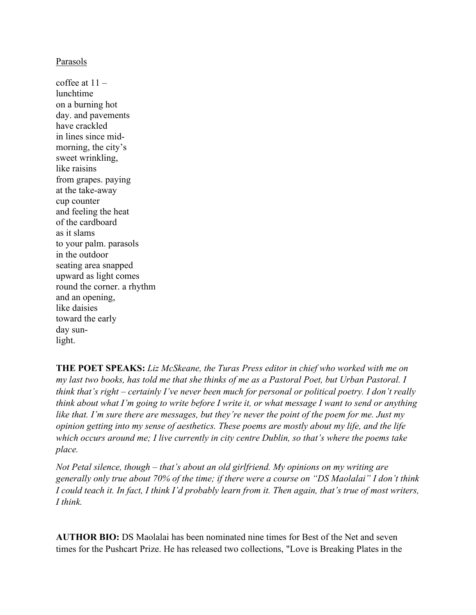## Parasols

coffee at  $11$ lunchtime on a burning hot day. and pavements have crackled in lines since midmorning, the city's sweet wrinkling, like raisins from grapes. paying at the take-away cup counter and feeling the heat of the cardboard as it slams to your palm. parasols in the outdoor seating area snapped upward as light comes round the corner. a rhythm and an opening, like daisies toward the early day sunlight.

**THE POET SPEAKS:** *Liz McSkeane, the Turas Press editor in chief who worked with me on my last two books, has told me that she thinks of me as a Pastoral Poet, but Urban Pastoral. I think that's right – certainly I've never been much for personal or political poetry. I don't really think about what I'm going to write before I write it, or what message I want to send or anything like that. I'm sure there are messages, but they're never the point of the poem for me. Just my opinion getting into my sense of aesthetics. These poems are mostly about my life, and the life which occurs around me; I live currently in city centre Dublin, so that's where the poems take place.* 

*Not Petal silence, though – that's about an old girlfriend. My opinions on my writing are generally only true about 70% of the time; if there were a course on "DS Maolalai" I don't think I could teach it. In fact, I think I'd probably learn from it. Then again, that's true of most writers, I think.* 

**AUTHOR BIO:** DS Maolalai has been nominated nine times for Best of the Net and seven times for the Pushcart Prize. He has released two collections, "Love is Breaking Plates in the